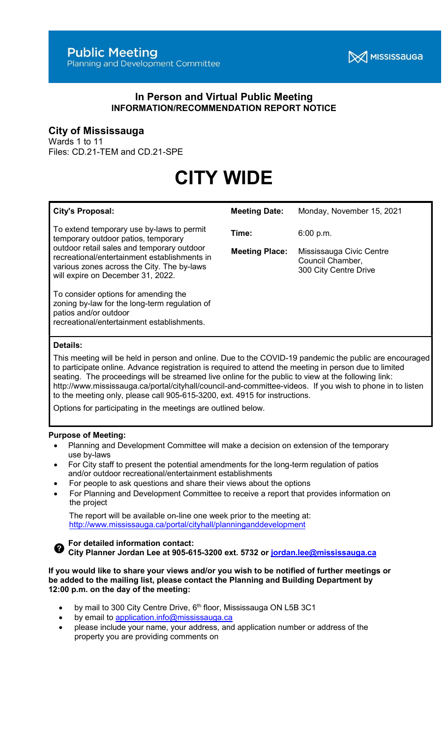

## In Person and Virtual Public Meeting INFORMATION/RECOMMENDATION REPORT NOTICE

# City of Mississauga

Wards 1 to 11 Files: CD.21-TEM and CD.21-SPE

# CITY WIDE

| <b>City's Proposal:</b>                                                                                                                                                                                                                                           | <b>Meeting Date:</b>           | Monday, November 15, 2021                                                          |
|-------------------------------------------------------------------------------------------------------------------------------------------------------------------------------------------------------------------------------------------------------------------|--------------------------------|------------------------------------------------------------------------------------|
| To extend temporary use by-laws to permit<br>temporary outdoor patios, temporary<br>outdoor retail sales and temporary outdoor<br>recreational/entertainment establishments in<br>various zones across the City. The by-laws<br>will expire on December 31, 2022. | Time:<br><b>Meeting Place:</b> | 6:00 p.m.<br>Mississauga Civic Centre<br>Council Chamber,<br>300 City Centre Drive |
| To consider options for amending the<br>zoning by-law for the long-term regulation of<br>patios and/or outdoor<br>recreational/entertainment establishments.<br>Details:                                                                                          |                                |                                                                                    |

This meeting will be held in person and online. Due to the COVID-19 pandemic the public are encouraged to participate online. Advance registration is required to attend the meeting in person due to limited seating. The proceedings will be streamed live online for the public to view at the following link: http://www.mississauga.ca/portal/cityhall/council-and-committee-videos. If you wish to phone in to listen to the meeting only, please call 905-615-3200, ext. 4915 for instructions.

Options for participating in the meetings are outlined below.

#### Purpose of Meeting:

- Planning and Development Committee will make a decision on extension of the temporary use by-laws
- For City staff to present the potential amendments for the long-term regulation of patios and/or outdoor recreational/entertainment establishments
- For people to ask questions and share their views about the options
- For Planning and Development Committee to receive a report that provides information on the project

 The report will be available on-line one week prior to the meeting at: http://www.mississauga.ca/portal/cityhall/planninganddevelopment

For detailed information contact:

**O** For detailed information contact:<br>City Planner Jordan Lee at 905-615-3200 ext. 5732 or jordan.lee@mississauga.ca

If you would like to share your views and/or you wish to be notified of further meetings or be added to the mailing list, please contact the Planning and Building Department by 12:00 p.m. on the day of the meeting:

- by mail to 300 City Centre Drive, 6<sup>th</sup> floor, Mississauga ON L5B 3C1
- by email to application.info@mississauga.ca
- please include your name, your address, and application number or address of the property you are providing comments on